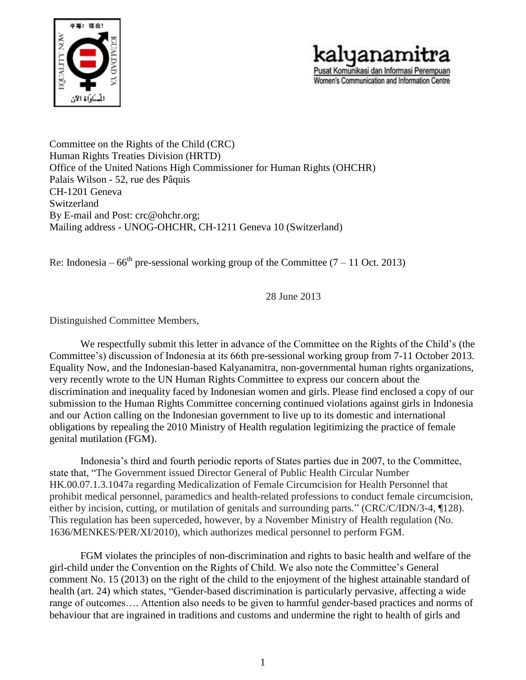



Committee on the Rights of the Child (CRC) Human Rights Treaties Division (HRTD) Office of the United Nations High Commissioner for Human Rights (OHCHR) Palais Wilson - 52, rue des Pâquis CH-1201 Geneva Switzerland By E-mail and Post: [crc@ohchr.org;](mailto:crc@ohchr.org) Mailing address - UNOG-OHCHR, CH-1211 Geneva 10 (Switzerland)

Re: Indonesia –  $66<sup>th</sup>$  pre-sessional working group of the Committee (7 – 11 Oct. 2013)

28 June 2013

Distinguished Committee Members,

We respectfully submit this letter in advance of the Committee on the Rights of the Child's (the Committee's) discussion of Indonesia at its 66th pre-sessional working group from 7-11 October 2013. Equality Now, and the Indonesian-based Kalyanamitra, non-governmental human rights organizations, very recently wrote to the UN Human Rights Committee to express our concern about the discrimination and inequality faced by Indonesian women and girls. Please find enclosed a copy of our submission to the Human Rights Committee concerning continued violations against girls in Indonesia and our Action calling on the Indonesian government to live up to its domestic and international obligations by repealing the 2010 Ministry of Health regulation legitimizing the practice of female genital mutilation (FGM).

Indonesia's third and fourth periodic reports of States parties due in 2007, to the Committee, state that, "The Government issued Director General of Public Health Circular Number HK.00.07.1.3.1047a regarding Medicalization of Female Circumcision for Health Personnel that prohibit medical personnel, paramedics and health-related professions to conduct female circumcision, either by incision, cutting, or mutilation of genitals and surrounding parts." (CRC/C/IDN/3-4, ¶128). This regulation has been superceded, however, by a November Ministry of Health regulation (No. 1636/MENKES/PER/XI/2010), which authorizes medical personnel to perform FGM.

FGM violates the principles of non-discrimination and rights to basic health and welfare of the girl-child under the Convention on the Rights of Child. We also note the Committee's General comment No. 15 (2013) on the right of the child to the enjoyment of the highest attainable standard of health (art. 24) which states, "Gender-based discrimination is particularly pervasive, affecting a wide range of outcomes…. Attention also needs to be given to harmful gender-based practices and norms of behaviour that are ingrained in traditions and customs and undermine the right to health of girls and